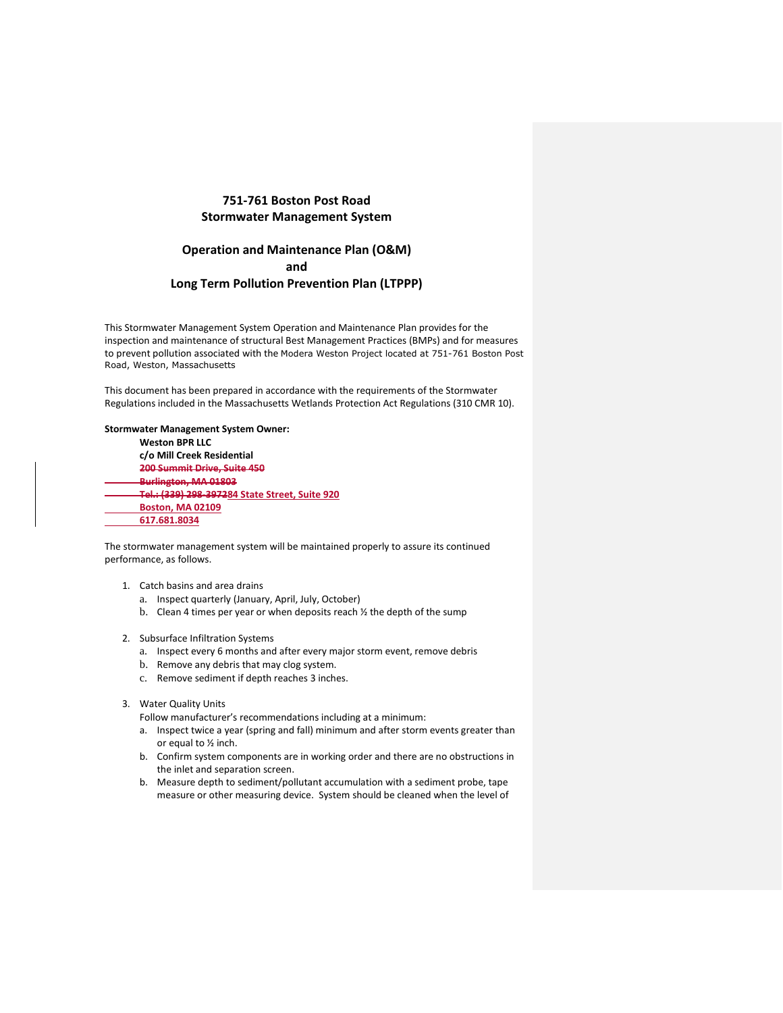## **751-761 Boston Post Road Stormwater Management System**

# **Operation and Maintenance Plan (O&M) and Long Term Pollution Prevention Plan (LTPPP)**

This Stormwater Management System Operation and Maintenance Plan provides for the inspection and maintenance of structural Best Management Practices (BMPs) and for measures to prevent pollution associated with the Modera Weston Project located at 751-761 Boston Post Road, Weston, Massachusetts

This document has been prepared in accordance with the requirements of the Stormwater Regulations included in the Massachusetts Wetlands Protection Act Regulations (310 CMR 10).

### **Stormwater Management System Owner:**

**Weston BPR LLC c/o Mill Creek Residential 200 Summit Drive, Suite 450 Burlington, MA 01803 Tel.: (339) 298-397284 State Street, Suite 920 Boston, MA 02109 617.681.8034**

The stormwater management system will be maintained properly to assure its continued performance, as follows.

- 1. Catch basins and area drains
	- a. Inspect quarterly (January, April, July, October)
	- b. Clean 4 times per year or when deposits reach ½ the depth of the sump
- 2. Subsurface Infiltration Systems
	- a. Inspect every 6 months and after every major storm event, remove debris
	- b. Remove any debris that may clog system.
	- c. Remove sediment if depth reaches 3 inches.
- 3. Water Quality Units

Follow manufacturer's recommendations including at a minimum:

- a. Inspect twice a year (spring and fall) minimum and after storm events greater than or equal to ½ inch.
- b. Confirm system components are in working order and there are no obstructions in the inlet and separation screen.
- b. Measure depth to sediment/pollutant accumulation with a sediment probe, tape measure or other measuring device. System should be cleaned when the level of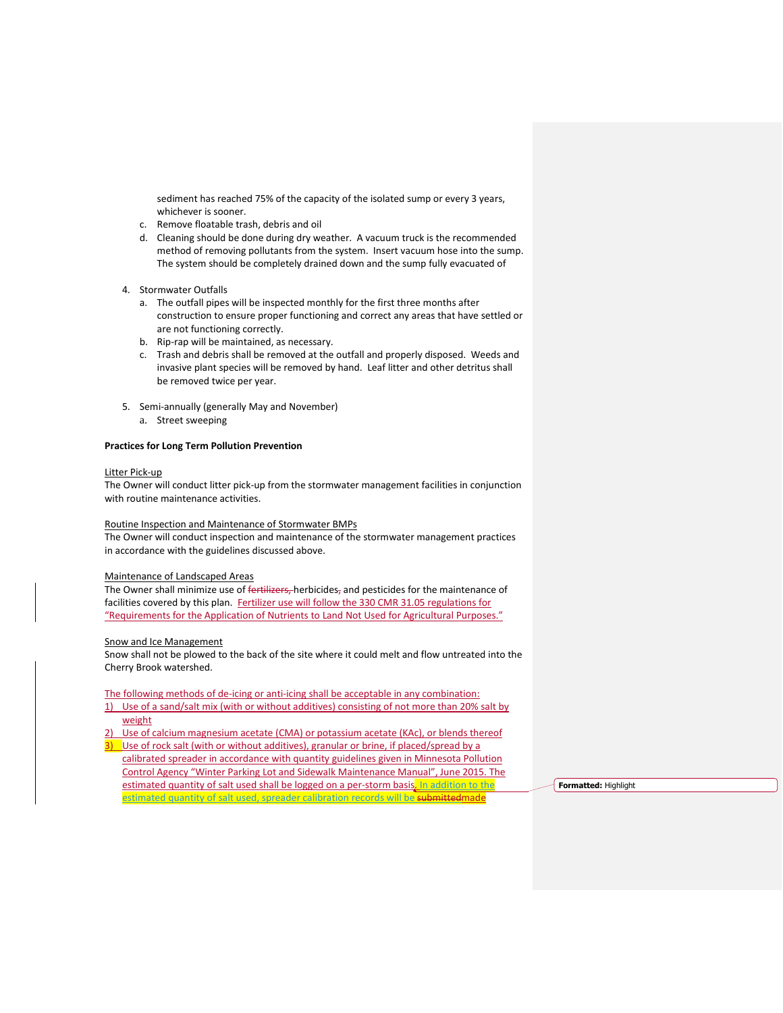sediment has reached 75% of the capacity of the isolated sump or every 3 years, whichever is sooner.

- c. Remove floatable trash, debris and oil
- d. Cleaning should be done during dry weather. A vacuum truck is the recommended method of removing pollutants from the system. Insert vacuum hose into the sump. The system should be completely drained down and the sump fully evacuated of
- 4. Stormwater Outfalls
	- a. The outfall pipes will be inspected monthly for the first three months after construction to ensure proper functioning and correct any areas that have settled or are not functioning correctly.
	- b. Rip-rap will be maintained, as necessary.
	- c. Trash and debris shall be removed at the outfall and properly disposed. Weeds and invasive plant species will be removed by hand. Leaf litter and other detritus shall be removed twice per year.
- 5. Semi-annually (generally May and November)
	- a. Street sweeping

### **Practices for Long Term Pollution Prevention**

### Litter Pick-up

The Owner will conduct litter pick-up from the stormwater management facilities in conjunction with routine maintenance activities.

## Routine Inspection and Maintenance of Stormwater BMPs

The Owner will conduct inspection and maintenance of the stormwater management practices in accordance with the guidelines discussed above.

### Maintenance of Landscaped Areas

The Owner shall minimize use of fertilizers, herbicides, and pesticides for the maintenance of facilities covered by this plan. Fertilizer use will follow the 330 CMR 31.05 regulations for "Requirements for the Application of Nutrients to Land Not Used for Agricultural Purposes."

#### Snow and Ice Management

Snow shall not be plowed to the back of the site where it could melt and flow untreated into the Cherry Brook watershed.

### The following methods of de-icing or anti-icing shall be acceptable in any combination:

- 1) Use of a sand/salt mix (with or without additives) consisting of not more than 20% salt by weight
- Use of calcium magnesium acetate (CMA) or potassium acetate (KAc), or blends thereof
- 3) Use of rock salt (with or without additives), granular or brine, if placed/spread by a calibrated spreader in accordance with quantity guidelines given in Minnesota Pollution Control Agency "Winter Parking Lot and Sidewalk Maintenance Manual", June 2015. The estimated quantity of salt used shall be logged on a per-storm basis. In addition to the estimated quantity of salt used, spreader calibration records will be submittedmade

**Formatted:** Highlight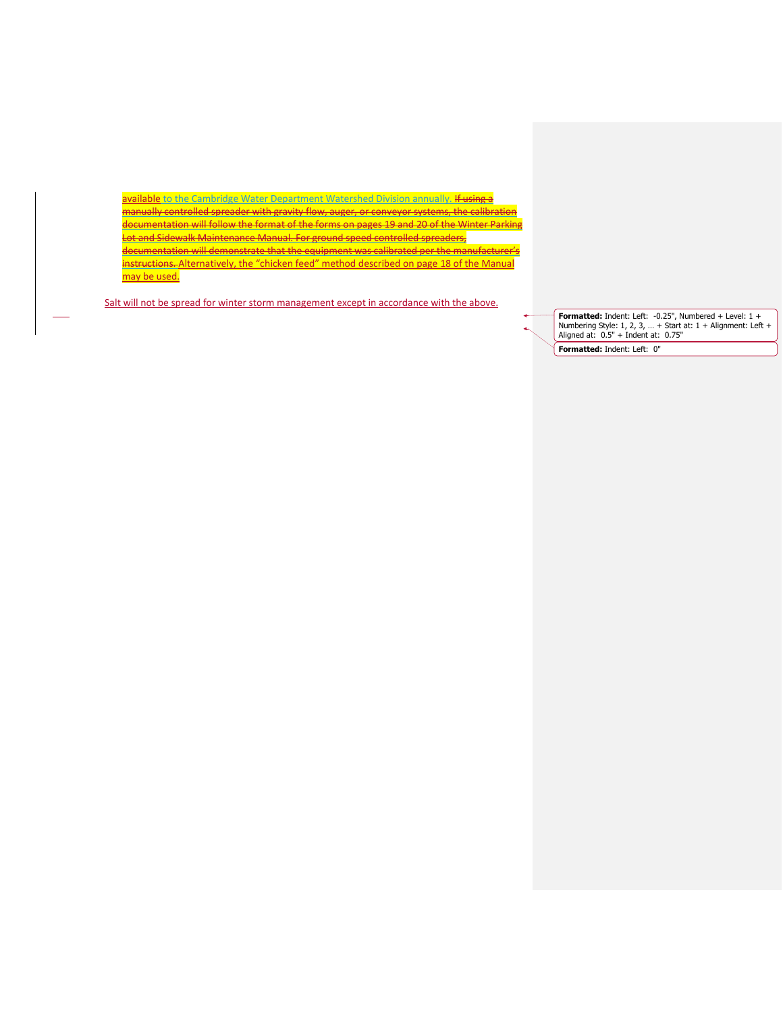available to the Cambridge Water Department Watershed Division annually. If using a manually controlled spreader with gravity flow, auger, or conveyor systems, the calibration documentation will follow the format of the forms on pages 19 and 20 of the Winter Parking Lot and Sidewalk Maintenance Manual. For ground speed controlled spreaders, documentation will demonstrate that the equipment was calibrated per the manufacturer's instructions. Alternatively, the "chicken feed" method described on page 18 of the Manual may be used.

Salt will not be spread for winter storm management except in accordance with the above.

**Formatted:** Indent: Left: -0.25", Numbered + Level: 1 + Numbering Style: 1, 2, 3, … + Start at: 1 + Alignment: Left + Aligned at: 0.5" + Indent at: 0.75" **Formatted:** Indent: Left: 0"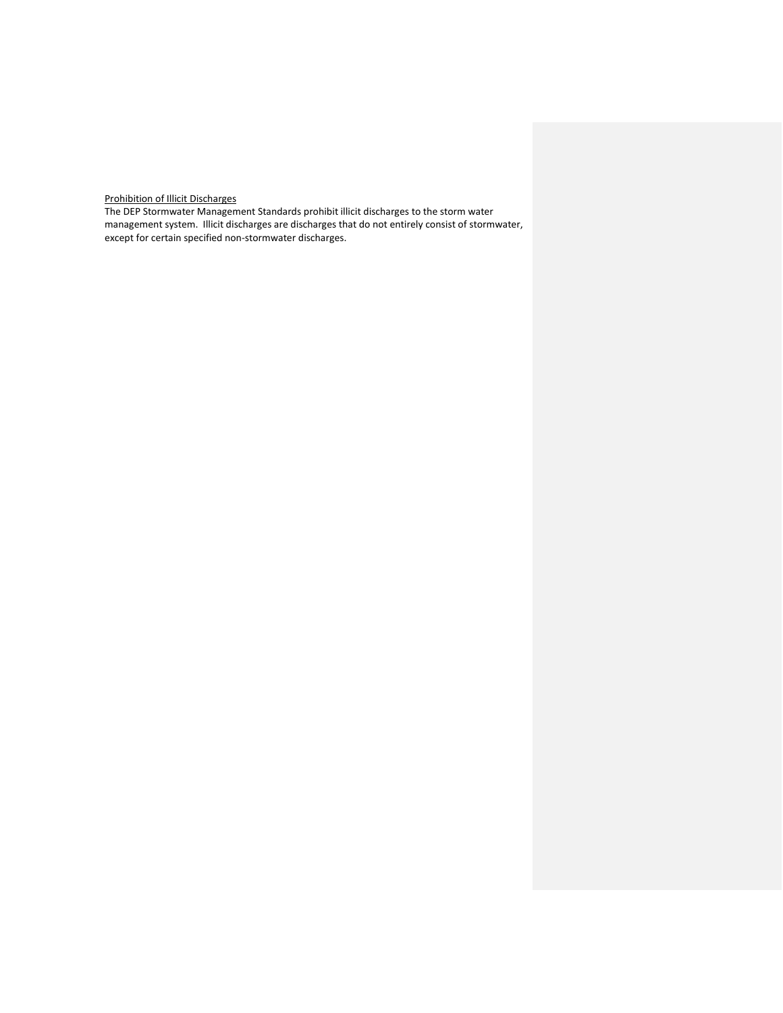Prohibition of Illicit Discharges

The DEP Stormwater Management Standards prohibit illicit discharges to the storm water management system. Illicit discharges are discharges that do not entirely consist of stormwater, except for certain specified non-stormwater discharges.